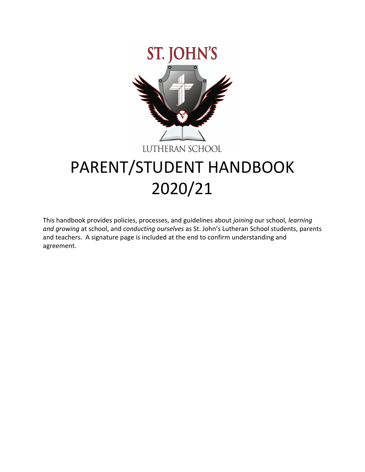

# PARENT/STUDENT HANDBOOK 2020/21

This handbook provides policies, processes, and guidelines about *joining* our school, *learning and growing* at school, and *conducting ourselves* as St. John's Lutheran School students, parents and teachers. A signature page is included at the end to confirm understanding and agreement.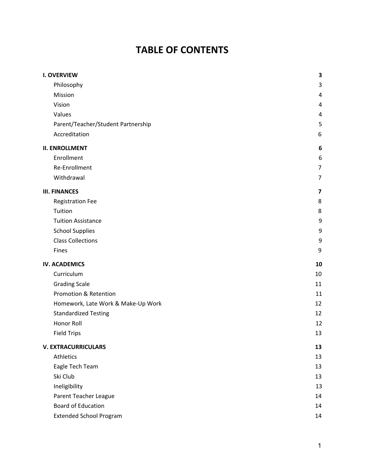# **TABLE OF CONTENTS**

| <b>I. OVERVIEW</b>                 | 3              |
|------------------------------------|----------------|
| Philosophy                         | 3              |
| Mission                            | 4              |
| Vision                             | 4              |
| Values                             | 4              |
| Parent/Teacher/Student Partnership | 5              |
| Accreditation                      | 6              |
| <b>II. ENROLLMENT</b>              | 6              |
| Enrollment                         | 6              |
| Re-Enrollment                      | $\overline{7}$ |
| Withdrawal                         | 7              |
| <b>III. FINANCES</b>               | 7              |
| <b>Registration Fee</b>            | 8              |
| Tuition                            | 8              |
| <b>Tuition Assistance</b>          | 9              |
| <b>School Supplies</b>             | 9              |
| <b>Class Collections</b>           | 9              |
| Fines                              | 9              |
| <b>IV. ACADEMICS</b>               | 10             |
| Curriculum                         | 10             |
| <b>Grading Scale</b>               | 11             |
|                                    |                |
| Promotion & Retention              | 11             |
| Homework, Late Work & Make-Up Work | 12             |
| <b>Standardized Testing</b>        | 12             |
| Honor Roll                         | 12             |
| <b>Field Trips</b>                 | 13             |
| <b>V. EXTRACURRICULARS</b>         | 13             |
| Athletics                          | 13             |
| Eagle Tech Team                    | 13             |
| Ski Club                           | 13             |
| Ineligibility                      | 13             |
| Parent Teacher League              | 14             |
| <b>Board of Education</b>          | 14             |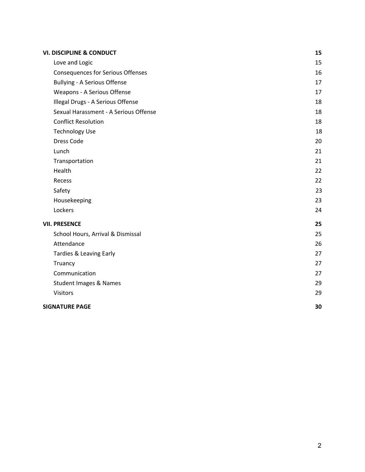| <b>VI. DISCIPLINE &amp; CONDUCT</b>      | 15 |
|------------------------------------------|----|
| Love and Logic                           | 15 |
| <b>Consequences for Serious Offenses</b> | 16 |
| <b>Bullying - A Serious Offense</b>      | 17 |
| Weapons - A Serious Offense              | 17 |
| Illegal Drugs - A Serious Offense        | 18 |
| Sexual Harassment - A Serious Offense    | 18 |
| <b>Conflict Resolution</b>               | 18 |
| <b>Technology Use</b>                    | 18 |
| Dress Code                               | 20 |
| Lunch                                    | 21 |
| Transportation                           | 21 |
| Health                                   | 22 |
| Recess                                   | 22 |
| Safety                                   | 23 |
| Housekeeping                             | 23 |
| Lockers                                  | 24 |
| <b>VII. PRESENCE</b>                     | 25 |
| School Hours, Arrival & Dismissal        | 25 |
| Attendance                               | 26 |
| Tardies & Leaving Early                  | 27 |
| Truancy                                  | 27 |
| Communication                            | 27 |
| <b>Student Images &amp; Names</b>        | 29 |
| Visitors                                 | 29 |
| <b>SIGNATURE PAGE</b>                    | 30 |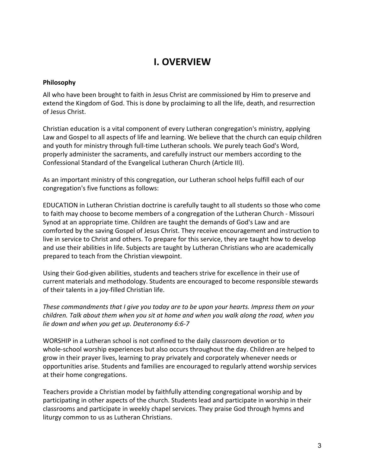### **I. OVERVIEW**

#### <span id="page-3-1"></span><span id="page-3-0"></span>**Philosophy**

All who have been brought to faith in Jesus Christ are commissioned by Him to preserve and extend the Kingdom of God. This is done by proclaiming to all the life, death, and resurrection of Jesus Christ.

Christian education is a vital component of every Lutheran congregation's ministry, applying Law and Gospel to all aspects of life and learning. We believe that the church can equip children and youth for ministry through full-time Lutheran schools. We purely teach God's Word, properly administer the sacraments, and carefully instruct our members according to the Confessional Standard of the Evangelical Lutheran Church (Article III).

As an important ministry of this congregation, our Lutheran school helps fulfill each of our congregation's five functions as follows:

EDUCATION in Lutheran Christian doctrine is carefully taught to all students so those who come to faith may choose to become members of a congregation of the Lutheran Church - Missouri Synod at an appropriate time. Children are taught the demands of God's Law and are comforted by the saving Gospel of Jesus Christ. They receive encouragement and instruction to live in service to Christ and others. To prepare for this service, they are taught how to develop and use their abilities in life. Subjects are taught by Lutheran Christians who are academically prepared to teach from the Christian viewpoint.

Using their God-given abilities, students and teachers strive for excellence in their use of current materials and methodology. Students are encouraged to become responsible stewards of their talents in a joy-filled Christian life.

*These commandments that I give you today are to be upon your hearts. Impress them on your children. Talk about them when you sit at home and when you walk along the road, when you lie down and when you get up. Deuteronomy 6:6-7*

WORSHIP in a Lutheran school is not confined to the daily classroom devotion or to whole-school worship experiences but also occurs throughout the day. Children are helped to grow in their prayer lives, learning to pray privately and corporately whenever needs or opportunities arise. Students and families are encouraged to regularly attend worship services at their home congregations.

Teachers provide a Christian model by faithfully attending congregational worship and by participating in other aspects of the church. Students lead and participate in worship in their classrooms and participate in weekly chapel services. They praise God through hymns and liturgy common to us as Lutheran Christians.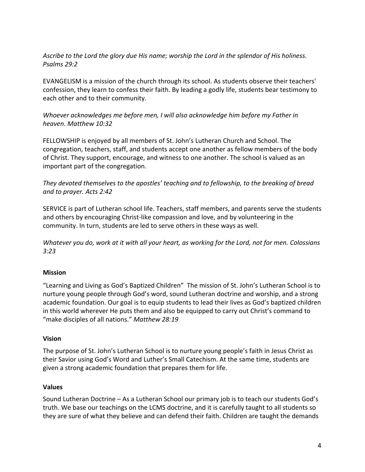*Ascribe to the Lord the glory due His name; worship the Lord in the splendor of His holiness. Psalms 29:2*

EVANGELISM is a mission of the church through its school. As students observe their teachers' confession, they learn to confess their faith. By leading a godly life, students bear testimony to each other and to their community.

#### *Whoever acknowledges me before men, I will also acknowledge him before my Father in heaven. Matthew 10:32*

FELLOWSHIP is enjoyed by all members of St. John's Lutheran Church and School. The congregation, teachers, staff, and students accept one another as fellow members of the body of Christ. They support, encourage, and witness to one another. The school is valued as an important part of the congregation.

#### *They devoted themselves to the apostles' teaching and to fellowship, to the breaking of bread and to prayer. Acts 2:42*

SERVICE is part of Lutheran school life. Teachers, staff members, and parents serve the students and others by encouraging Christ-like compassion and love, and by volunteering in the community. In turn, students are led to serve others in these ways as well.

*Whatever you do, work at it with all your heart, as working for the Lord, not for men. Colossians 3:23*

#### <span id="page-4-0"></span>**Mission**

"Learning and Living as God's Baptized Children" The mission of St. John's Lutheran School is to nurture young people through God's word, sound Lutheran doctrine and worship, and a strong academic foundation. Our goal is to equip students to lead their lives as God's baptized children in this world wherever He puts them and also be equipped to carry out Christ's command to "make disciples of all nations." *Matthew 28:19*

#### <span id="page-4-1"></span>**Vision**

The purpose of St. John's Lutheran School is to nurture young people's faith in Jesus Christ as their Savior using God's Word and Luther's Small Catechism. At the same time, students are given a strong academic foundation that prepares them for life.

#### <span id="page-4-2"></span>**Values**

Sound Lutheran Doctrine – As a Lutheran School our primary job is to teach our students God's truth. We base our teachings on the LCMS doctrine, and it is carefully taught to all students so they are sure of what they believe and can defend their faith. Children are taught the demands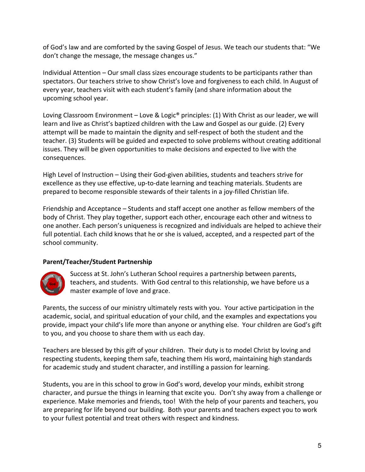of God's law and are comforted by the saving Gospel of Jesus. We teach our students that: "We don't change the message, the message changes us."

Individual Attention – Our small class sizes encourage students to be participants rather than spectators. Our teachers strive to show Christ's love and forgiveness to each child. In August of every year, teachers visit with each student's family (and share information about the upcoming school year.

Loving Classroom Environment – Love & Logic<sup>®</sup> principles: (1) With Christ as our leader, we will learn and live as Christ's baptized children with the Law and Gospel as our guide. (2) Every attempt will be made to maintain the dignity and self-respect of both the student and the teacher. (3) Students will be guided and expected to solve problems without creating additional issues. They will be given opportunities to make decisions and expected to live with the consequences.

High Level of Instruction – Using their God-given abilities, students and teachers strive for excellence as they use effective, up-to-date learning and teaching materials. Students are prepared to become responsible stewards of their talents in a joy-filled Christian life.

Friendship and Acceptance – Students and staff accept one another as fellow members of the body of Christ. They play together, support each other, encourage each other and witness to one another. Each person's uniqueness is recognized and individuals are helped to achieve their full potential. Each child knows that he or she is valued, accepted, and a respected part of the school community.

#### <span id="page-5-0"></span>**Parent/Teacher/Student Partnership**



Success at St. John's Lutheran School requires a partnership between parents, teachers, and students. With God central to this relationship, we have before us a master example of love and grace.

Parents, the success of our ministry ultimately rests with you. Your active participation in the academic, social, and spiritual education of your child, and the examples and expectations you provide, impact your child's life more than anyone or anything else. Your children are God's gift to you, and you choose to share them with us each day.

Teachers are blessed by this gift of your children. Their duty is to model Christ by loving and respecting students, keeping them safe, teaching them His word, maintaining high standards for academic study and student character, and instilling a passion for learning.

Students, you are in this school to grow in God's word, develop your minds, exhibit strong character, and pursue the things in learning that excite you. Don't shy away from a challenge or experience. Make memories and friends, too! With the help of your parents and teachers, you are preparing for life beyond our building. Both your parents and teachers expect you to work to your fullest potential and treat others with respect and kindness.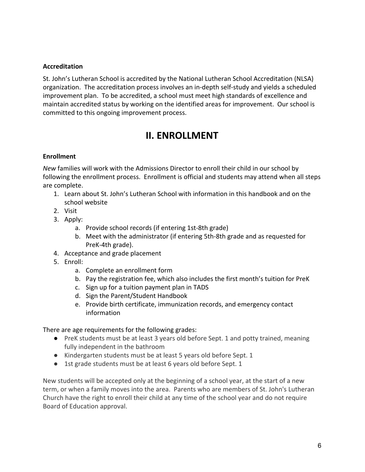#### <span id="page-6-0"></span>**Accreditation**

St. John's Lutheran School is accredited by the National Lutheran School Accreditation (NLSA) organization. The accreditation process involves an in-depth self-study and yields a scheduled improvement plan. To be accredited, a school must meet high standards of excellence and maintain accredited status by working on the identified areas for improvement. Our school is committed to this ongoing improvement process.

### **II. ENROLLMENT**

#### <span id="page-6-2"></span><span id="page-6-1"></span>**Enrollment**

*New* families will work with the Admissions Director to enroll their child in our school by following the enrollment process. Enrollment is official and students may attend when all steps are complete.

- 1. Learn about St. John's Lutheran School with information in this handbook and on the school website
- 2. Visit
- 3. Apply:
	- a. Provide school records (if entering 1st-8th grade)
	- b. Meet with the administrator (if entering 5th-8th grade and as requested for PreK-4th grade).
- 4. Acceptance and grade placement
- 5. Enroll:
	- a. Complete an enrollment form
	- b. Pay the registration fee, which also includes the first month's tuition for PreK
	- c. Sign up for a tuition payment plan in TADS
	- d. Sign the Parent/Student Handbook
	- e. Provide birth certificate, immunization records, and emergency contact information

There are age requirements for the following grades:

- PreK students must be at least 3 years old before Sept. 1 and potty trained, meaning fully independent in the bathroom
- Kindergarten students must be at least 5 years old before Sept. 1
- 1st grade students must be at least 6 years old before Sept. 1

New students will be accepted only at the beginning of a school year, at the start of a new term, or when a family moves into the area. Parents who are members of St. John's Lutheran Church have the right to enroll their child at any time of the school year and do not require Board of Education approval.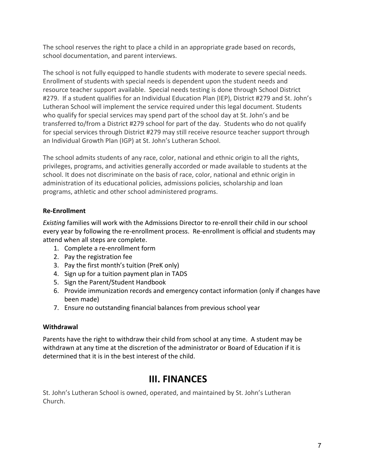The school reserves the right to place a child in an appropriate grade based on records, school documentation, and parent interviews.

The school is not fully equipped to handle students with moderate to severe special needs. Enrollment of students with special needs is dependent upon the student needs and resource teacher support available. Special needs testing is done through School District #279. If a student qualifies for an Individual Education Plan (IEP), District #279 and St. John's Lutheran School will implement the service required under this legal document. Students who qualify for special services may spend part of the school day at St. John's and be transferred to/from a District #279 school for part of the day. Students who do not qualify for special services through District #279 may still receive resource teacher support through an Individual Growth Plan (IGP) at St. John's Lutheran School.

The school admits students of any race, color, national and ethnic origin to all the rights, privileges, programs, and activities generally accorded or made available to students at the school. It does not discriminate on the basis of race, color, national and ethnic origin in administration of its educational policies, admissions policies, scholarship and loan programs, athletic and other school administered programs.

#### <span id="page-7-0"></span>**Re-Enrollment**

*Existing* families will work with the Admissions Director to re-enroll their child in our school every year by following the re-enrollment process. Re-enrollment is official and students may attend when all steps are complete.

- 1. Complete a re-enrollment form
- 2. Pay the registration fee
- 3. Pay the first month's tuition (PreK only)
- 4. Sign up for a tuition payment plan in TADS
- 5. Sign the Parent/Student Handbook
- 6. Provide immunization records and emergency contact information (only if changes have been made)
- 7. Ensure no outstanding financial balances from previous school year

#### <span id="page-7-1"></span>**Withdrawal**

<span id="page-7-2"></span>Parents have the right to withdraw their child from school at any time. A student may be withdrawn at any time at the discretion of the administrator or Board of Education if it is determined that it is in the best interest of the child.

### **III. FINANCES**

St. John's Lutheran School is owned, operated, and maintained by St. John's Lutheran Church.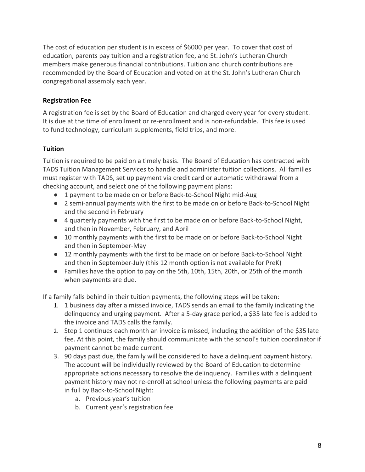The cost of education per student is in excess of \$6000 per year. To cover that cost of education, parents pay tuition and a registration fee, and St. John's Lutheran Church members make generous financial contributions. Tuition and church contributions are recommended by the Board of Education and voted on at the St. John's Lutheran Church congregational assembly each year.

#### <span id="page-8-0"></span>**Registration Fee**

A registration fee is set by the Board of Education and charged every year for every student. It is due at the time of enrollment or re-enrollment and is non-refundable. This fee is used to fund technology, curriculum supplements, field trips, and more.

#### <span id="page-8-1"></span>**Tuition**

Tuition is required to be paid on a timely basis. The Board of Education has contracted with TADS Tuition Management Services to handle and administer tuition collections. All families must register with TADS, set up payment via credit card or automatic withdrawal from a checking account, and select one of the following payment plans:

- 1 payment to be made on or before Back-to-School Night mid-Aug
- 2 semi-annual payments with the first to be made on or before Back-to-School Night and the second in February
- 4 quarterly payments with the first to be made on or before Back-to-School Night, and then in November, February, and April
- 10 monthly payments with the first to be made on or before Back-to-School Night and then in September-May
- 12 monthly payments with the first to be made on or before Back-to-School Night and then in September-July (this 12 month option is not available for PreK)
- Families have the option to pay on the 5th, 10th, 15th, 20th, or 25th of the month when payments are due.

If a family falls behind in their tuition payments, the following steps will be taken:

- 1. 1 business day after a missed invoice, TADS sends an email to the family indicating the delinquency and urging payment. After a 5-day grace period, a \$35 late fee is added to the invoice and TADS calls the family.
- 2. Step 1 continues each month an invoice is missed, including the addition of the \$35 late fee. At this point, the family should communicate with the school's tuition coordinator if payment cannot be made current.
- 3. 90 days past due, the family will be considered to have a delinquent payment history. The account will be individually reviewed by the Board of Education to determine appropriate actions necessary to resolve the delinquency. Families with a delinquent payment history may not re-enroll at school unless the following payments are paid in full by Back-to-School Night:
	- a. Previous year's tuition
	- b. Current year's registration fee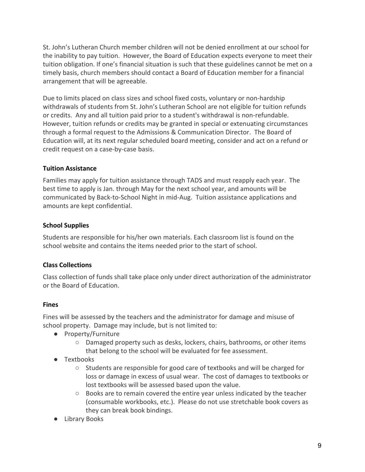St. John's Lutheran Church member children will not be denied enrollment at our school for the inability to pay tuition. However, the Board of Education expects everyone to meet their tuition obligation. If one's financial situation is such that these guidelines cannot be met on a timely basis, church members should contact a Board of Education member for a financial arrangement that will be agreeable.

Due to limits placed on class sizes and school fixed costs, voluntary or non-hardship withdrawals of students from St. John's Lutheran School are not eligible for tuition refunds or credits. Any and all tuition paid prior to a student's withdrawal is non-refundable. However, tuition refunds or credits may be granted in special or extenuating circumstances through a formal request to the Admissions & Communication Director. The Board of Education will, at its next regular scheduled board meeting, consider and act on a refund or credit request on a case-by-case basis.

#### <span id="page-9-0"></span>**Tuition Assistance**

Families may apply for tuition assistance through TADS and must reapply each year. The best time to apply is Jan. through May for the next school year, and amounts will be communicated by Back-to-School Night in mid-Aug. Tuition assistance applications and amounts are kept confidential.

#### <span id="page-9-1"></span>**School Supplies**

Students are responsible for his/her own materials. Each classroom list is found on the school website and contains the items needed prior to the start of school.

#### <span id="page-9-2"></span>**Class Collections**

Class collection of funds shall take place only under direct authorization of the administrator or the Board of Education.

#### <span id="page-9-3"></span>**Fines**

Fines will be assessed by the teachers and the administrator for damage and misuse of school property. Damage may include, but is not limited to:

- Property/Furniture
	- Damaged property such as desks, lockers, chairs, bathrooms, or other items that belong to the school will be evaluated for fee assessment.
- Textbooks
	- Students are responsible for good care of textbooks and will be charged for loss or damage in excess of usual wear. The cost of damages to textbooks or lost textbooks will be assessed based upon the value.
	- Books are to remain covered the entire year unless indicated by the teacher (consumable workbooks, etc.). Please do not use stretchable book covers as they can break book bindings.
- Library Books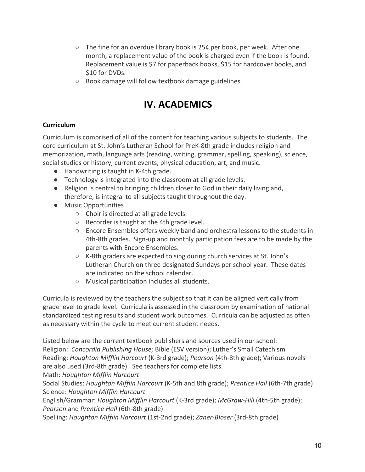- **○** The fine for an overdue library book is 25¢ per book, per week. After one month, a replacement value of the book is charged even if the book is found. Replacement value is \$7 for paperback books, \$15 for hardcover books, and \$10 for DVDs.
- <span id="page-10-0"></span>**○** Book damage will follow textbook damage guidelines.

### **IV. ACADEMICS**

#### <span id="page-10-1"></span>**Curriculum**

Curriculum is comprised of all of the content for teaching various subjects to students. The core curriculum at St. John's Lutheran School for PreK-8th grade includes religion and memorization, math, language arts (reading, writing, grammar, spelling, speaking), science, social studies or history, current events, physical education, art, and music.

- Handwriting is taught in K-4th grade.
- Technology is integrated into the classroom at all grade levels.
- Religion is central to bringing children closer to God in their daily living and, therefore, is integral to all subjects taught throughout the day.
- Music Opportunities
	- Choir is directed at all grade levels.
	- Recorder is taught at the 4th grade level.
	- Encore Ensembles offers weekly band and orchestra lessons to the students in 4th-8th grades. Sign-up and monthly participation fees are to be made by the parents with Encore Ensembles.
	- K-8th graders are expected to sing during church services at St. John's Lutheran Church on three designated Sundays per school year. These dates are indicated on the school calendar.
	- Musical participation includes all students.

Curricula is reviewed by the teachers the subject so that it can be aligned vertically from grade level to grade level. Curricula is assessed in the classroom by examination of national standardized testing results and student work outcomes. Curricula can be adjusted as often as necessary within the cycle to meet current student needs.

Listed below are the current textbook publishers and sources used in our school: Religion: *Concordia Publishing House;* Bible (ESV version); Luther's Small Catechism Reading: *Houghton Mifflin Harcourt* (K-3rd grade); *Pearson* (4th-8th grade); Various novels are also used (3rd-8th grade). See teachers for complete lists.

Math: *Houghton Mifflin Harcourt*

Social Studies: *Houghton Mifflin Harcourt* (K-5th and 8th grade); *Prentice Hall* (6th-7th grade) Science: *Houghton Mifflin Harcourt*

English/Grammar: *Houghton Mifflin Harcourt* (K-3rd grade); *McGraw-Hill* (4th-5th grade); *Pearson* and *Prentice Hall* (6th-8th grade)

Spelling: *Houghton Mifflin Harcourt* (1st-2nd grade); *Zaner-Bloser* (3rd-8th grade)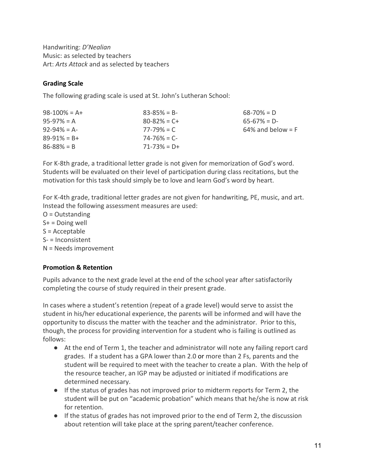Handwriting: *D'Nealian* Music: as selected by teachers Art: *Arts Attack* and as selected by teachers

#### <span id="page-11-0"></span>**Grading Scale**

The following grading scale is used at St. John's Lutheran School:

| $98 - 100\% = A +$ | $83 - 85\% = B$   | $68 - 70\% = D$      |
|--------------------|-------------------|----------------------|
| $95-97\% = A$      | $80 - 82\% = C +$ | $65-67\% = D$        |
| $92 - 94\% = A$    | $77 - 79\% = C$   | $64\%$ and below = F |
| $89-91\% = B +$    | $74 - 76\% = C$   |                      |
| $86 - 88\% = B$    | $71 - 73\% = D +$ |                      |
|                    |                   |                      |

For K-8th grade, a traditional letter grade is not given for memorization of God's word. Students will be evaluated on their level of participation during class recitations, but the motivation for this task should simply be to love and learn God's word by heart.

For K-4th grade, traditional letter grades are not given for handwriting, PE, music, and art. Instead the following assessment measures are used:

 $O =$ Outstanding  $S<sup>+</sup>$  = Doing well  $S =$  Acceptable S- = Inconsistent N = Needs improvement

#### <span id="page-11-1"></span>**Promotion & Retention**

Pupils advance to the next grade level at the end of the school year after satisfactorily completing the course of study required in their present grade.

In cases where a student's retention (repeat of a grade level) would serve to assist the student in his/her educational experience, the parents will be informed and will have the opportunity to discuss the matter with the teacher and the administrator. Prior to this, though, the process for providing intervention for a student who is failing is outlined as follows:

- At the end of Term 1, the teacher and administrator will note any failing report card grades. If a student has a GPA lower than 2.0 or more than 2 Fs, parents and the student will be required to meet with the teacher to create a plan. With the help of the resource teacher, an IGP may be adjusted or initiated if modifications are determined necessary.
- If the status of grades has not improved prior to midterm reports for Term 2, the student will be put on "academic probation" which means that he/she is now at risk for retention.
- If the status of grades has not improved prior to the end of Term 2, the discussion about retention will take place at the spring parent/teacher conference.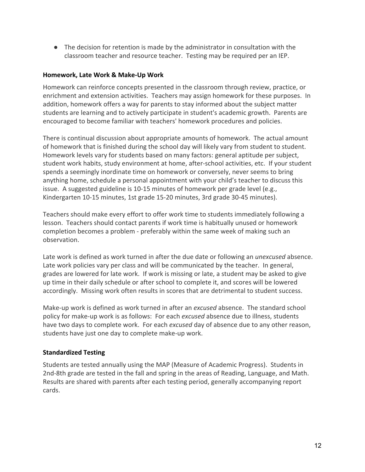● The decision for retention is made by the administrator in consultation with the classroom teacher and resource teacher. Testing may be required per an IEP.

#### <span id="page-12-0"></span>**Homework, Late Work & Make-Up Work**

Homework can reinforce concepts presented in the classroom through review, practice, or enrichment and extension activities. Teachers may assign homework for these purposes. In addition, homework offers a way for parents to stay informed about the subject matter students are learning and to actively participate in student's academic growth. Parents are encouraged to become familiar with teachers' homework procedures and policies.

There is continual discussion about appropriate amounts of homework. The actual amount of homework that is finished during the school day will likely vary from student to student. Homework levels vary for students based on many factors: general aptitude per subject, student work habits, study environment at home, after-school activities, etc. If your student spends a seemingly inordinate time on homework or conversely, never seems to bring anything home, schedule a personal appointment with your child's teacher to discuss this issue. A suggested guideline is 10-15 minutes of homework per grade level (e.g., Kindergarten 10-15 minutes, 1st grade 15-20 minutes, 3rd grade 30-45 minutes).

Teachers should make every effort to offer work time to students immediately following a lesson. Teachers should contact parents if work time is habitually unused or homework completion becomes a problem - preferably within the same week of making such an observation.

Late work is defined as work turned in after the due date or following an *unexcused* absence. Late work policies vary per class and will be communicated by the teacher. In general, grades are lowered for late work. If work is missing or late, a student may be asked to give up time in their daily schedule or after school to complete it, and scores will be lowered accordingly. Missing work often results in scores that are detrimental to student success.

Make-up work is defined as work turned in after an *excused* absence. The standard school policy for make-up work is as follows: For each *excused* absence due to illness, students have two days to complete work. For each *excused* day of absence due to any other reason, students have just one day to complete make-up work.

#### <span id="page-12-1"></span>**Standardized Testing**

Students are tested annually using the MAP (Measure of Academic Progress). Students in 2nd-8th grade are tested in the fall and spring in the areas of Reading, Language, and Math. Results are shared with parents after each testing period, generally accompanying report cards.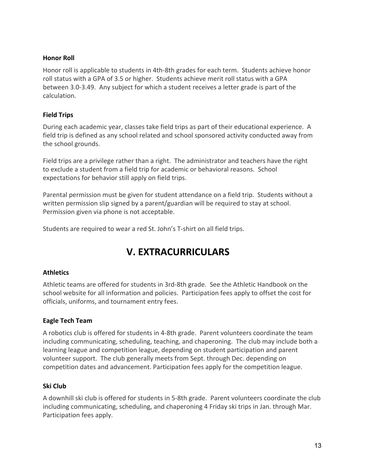#### <span id="page-13-0"></span>**Honor Roll**

Honor roll is applicable to students in 4th-8th grades for each term. Students achieve honor roll status with a GPA of 3.5 or higher. Students achieve merit roll status with a GPA between 3.0-3.49. Any subject for which a student receives a letter grade is part of the calculation.

#### <span id="page-13-1"></span>**Field Trips**

During each academic year, classes take field trips as part of their educational experience. A field trip is defined as any school related and school sponsored activity conducted away from the school grounds.

Field trips are a privilege rather than a right. The administrator and teachers have the right to exclude a student from a field trip for academic or behavioral reasons. School expectations for behavior still apply on field trips.

Parental permission must be given for student attendance on a field trip. Students without a written permission slip signed by a parent/guardian will be required to stay at school. Permission given via phone is not acceptable.

<span id="page-13-2"></span>Students are required to wear a red St. John's T-shirt on all field trips.

# **V. EXTRACURRICULARS**

#### <span id="page-13-3"></span>**Athletics**

Athletic teams are offered for students in 3rd-8th grade. See the Athletic Handbook on the school website for all information and policies. Participation fees apply to offset the cost for officials, uniforms, and tournament entry fees.

#### <span id="page-13-4"></span>**Eagle Tech Team**

A robotics club is offered for students in 4-8th grade. Parent volunteers coordinate the team including communicating, scheduling, teaching, and chaperoning. The club may include both a learning league and competition league, depending on student participation and parent volunteer support. The club generally meets from Sept. through Dec. depending on competition dates and advancement. Participation fees apply for the competition league.

#### <span id="page-13-5"></span>**Ski Club**

A downhill ski club is offered for students in 5-8th grade. Parent volunteers coordinate the club including communicating, scheduling, and chaperoning 4 Friday ski trips in Jan. through Mar. Participation fees apply.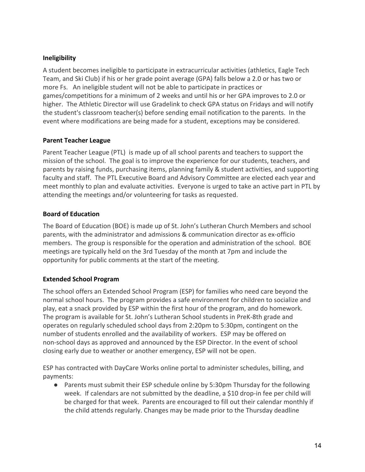#### <span id="page-14-0"></span>**Ineligibility**

A student becomes ineligible to participate in extracurricular activities (athletics, Eagle Tech Team, and Ski Club) if his or her grade point average (GPA) falls below a 2.0 or has two or more Fs. An ineligible student will not be able to participate in practices or games/competitions for a minimum of 2 weeks and until his or her GPA improves to 2.0 or higher. The Athletic Director will use Gradelink to check GPA status on Fridays and will notify the student's classroom teacher(s) before sending email notification to the parents. In the event where modifications are being made for a student, exceptions may be considered.

#### <span id="page-14-1"></span>**Parent Teacher League**

Parent Teacher League (PTL) is made up of all school parents and teachers to support the mission of the school. The goal is to improve the experience for our students, teachers, and parents by raising funds, purchasing items, planning family & student activities, and supporting faculty and staff. The PTL Executive Board and Advisory Committee are elected each year and meet monthly to plan and evaluate activities. Everyone is urged to take an active part in PTL by attending the meetings and/or volunteering for tasks as requested.

#### <span id="page-14-2"></span>**Board of Education**

The Board of Education (BOE) is made up of St. John's Lutheran Church Members and school parents, with the administrator and admissions & communication director as ex-officio members. The group is responsible for the operation and administration of the school. BOE meetings are typically held on the 3rd Tuesday of the month at 7pm and include the opportunity for public comments at the start of the meeting.

#### <span id="page-14-3"></span>**Extended School Program**

The school offers an Extended School Program (ESP) for families who need care beyond the normal school hours. The program provides a safe environment for children to socialize and play, eat a snack provided by ESP within the first hour of the program, and do homework. The program is available for St. John's Lutheran School students in PreK-8th grade and operates on regularly scheduled school days from 2:20pm to 5:30pm, contingent on the number of students enrolled and the availability of workers. ESP may be offered on non-school days as approved and announced by the ESP Director. In the event of school closing early due to weather or another emergency, ESP will not be open.

ESP has contracted with DayCare Works online portal to administer schedules, billing, and payments:

● Parents must submit their ESP schedule online by 5:30pm Thursday for the following week. If calendars are not submitted by the deadline, a \$10 drop-in fee per child will be charged for that week. Parents are encouraged to fill out their calendar monthly if the child attends regularly. Changes may be made prior to the Thursday deadline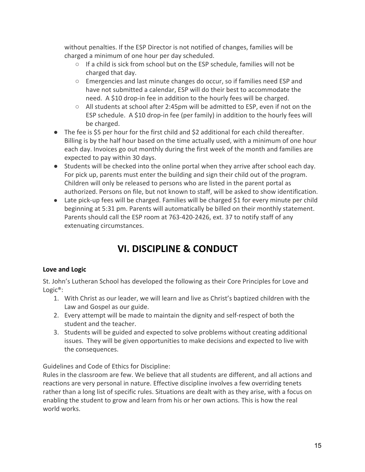without penalties. If the ESP Director is not notified of changes, families will be charged a minimum of one hour per day scheduled.

- If a child is sick from school but on the ESP schedule, families will not be charged that day.
- Emergencies and last minute changes do occur, so if families need ESP and have not submitted a calendar, ESP will do their best to accommodate the need. A \$10 drop-in fee in addition to the hourly fees will be charged.
- All students at school after 2:45pm will be admitted to ESP, even if not on the ESP schedule. A \$10 drop-in fee (per family) in addition to the hourly fees will be charged.
- The fee is \$5 per hour for the first child and \$2 additional for each child thereafter. Billing is by the half hour based on the time actually used, with a minimum of one hour each day. Invoices go out monthly during the first week of the month and families are expected to pay within 30 days.
- Students will be checked into the online portal when they arrive after school each day. For pick up, parents must enter the building and sign their child out of the program. Children will only be released to persons who are listed in the parent portal as authorized. Persons on file, but not known to staff, will be asked to show identification.
- <span id="page-15-0"></span>● Late pick-up fees will be charged. Families will be charged \$1 for every minute per child beginning at 5:31 pm. Parents will automatically be billed on their monthly statement. Parents should call the ESP room at 763-420-2426, ext. 37 to notify staff of any extenuating circumstances.

# **VI. DISCIPLINE & CONDUCT**

#### <span id="page-15-1"></span>**Love and Logic**

St. John's Lutheran School has developed the following as their Core Principles for Love and Logic®:

- 1. With Christ as our leader, we will learn and live as Christ's baptized children with the Law and Gospel as our guide.
- 2. Every attempt will be made to maintain the dignity and self-respect of both the student and the teacher.
- 3. Students will be guided and expected to solve problems without creating additional issues. They will be given opportunities to make decisions and expected to live with the consequences.

Guidelines and Code of Ethics for Discipline:

Rules in the classroom are few. We believe that all students are different, and all actions and reactions are very personal in nature. Effective discipline involves a few overriding tenets rather than a long list of specific rules. Situations are dealt with as they arise, with a focus on enabling the student to grow and learn from his or her own actions. This is how the real world works.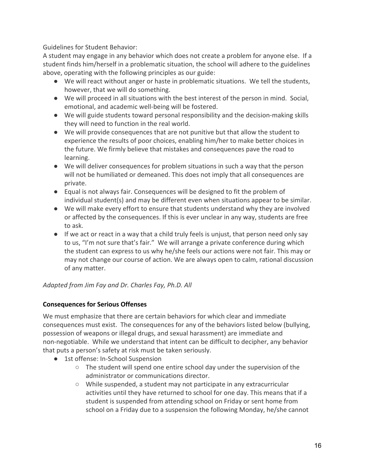Guidelines for Student Behavior:

A student may engage in any behavior which does not create a problem for anyone else. If a student finds him/herself in a problematic situation, the school will adhere to the guidelines above, operating with the following principles as our guide:

- We will react without anger or haste in problematic situations. We tell the students, however, that we will do something.
- We will proceed in all situations with the best interest of the person in mind. Social, emotional, and academic well-being will be fostered.
- We will guide students toward personal responsibility and the decision-making skills they will need to function in the real world.
- We will provide consequences that are not punitive but that allow the student to experience the results of poor choices, enabling him/her to make better choices in the future. We firmly believe that mistakes and consequences pave the road to learning.
- We will deliver consequences for problem situations in such a way that the person will not be humiliated or demeaned. This does not imply that all consequences are private.
- Equal is not always fair. Consequences will be designed to fit the problem of individual student(s) and may be different even when situations appear to be similar.
- We will make every effort to ensure that students understand why they are involved or affected by the consequences. If this is ever unclear in any way, students are free to ask.
- If we act or react in a way that a child truly feels is unjust, that person need only say to us, "I'm not sure that's fair." We will arrange a private conference during which the student can express to us why he/she feels our actions were not fair. This may or may not change our course of action. We are always open to calm, rational discussion of any matter.

<span id="page-16-0"></span>*Adapted from Jim Fay and Dr. Charles Fay, Ph.D. All*

#### **Consequences for Serious Offenses**

We must emphasize that there are certain behaviors for which clear and immediate consequences must exist. The consequences for any of the behaviors listed below (bullying, possession of weapons or illegal drugs, and sexual harassment) are immediate and non-negotiable. While we understand that intent can be difficult to decipher, any behavior that puts a person's safety at risk must be taken seriously.

- 1st offense: In-School Suspension
	- $\circ$  The student will spend one entire school day under the supervision of the administrator or communications director.
	- While suspended, a student may not participate in any extracurricular activities until they have returned to school for one day. This means that if a student is suspended from attending school on Friday or sent home from school on a Friday due to a suspension the following Monday, he/she cannot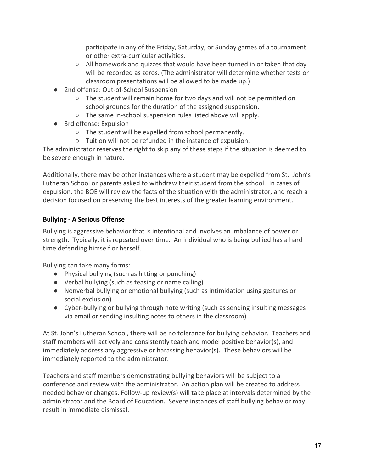participate in any of the Friday, Saturday, or Sunday games of a tournament or other extra-curricular activities.

- $\circ$  All homework and quizzes that would have been turned in or taken that day will be recorded as zeros. (The administrator will determine whether tests or classroom presentations will be allowed to be made up.)
- 2nd offense: Out-of-School Suspension
	- The student will remain home for two days and will not be permitted on school grounds for the duration of the assigned suspension.
	- The same in-school suspension rules listed above will apply.
- 3rd offense: Expulsion
	- The student will be expelled from school permanently.
	- Tuition will not be refunded in the instance of expulsion.

The administrator reserves the right to skip any of these steps if the situation is deemed to be severe enough in nature.

Additionally, there may be other instances where a student may be expelled from St. John's Lutheran School or parents asked to withdraw their student from the school. In cases of expulsion, the BOE will review the facts of the situation with the administrator, and reach a decision focused on preserving the best interests of the greater learning environment.

#### <span id="page-17-0"></span>**Bullying - A Serious Offense**

Bullying is aggressive behavior that is intentional and involves an imbalance of power or strength. Typically, it is repeated over time. An individual who is being bullied has a hard time defending himself or herself.

Bullying can take many forms:

- Physical bullying (such as hitting or punching)
- Verbal bullying (such as teasing or name calling)
- Nonverbal bullying or emotional bullying (such as intimidation using gestures or social exclusion)
- Cyber-bullying or bullying through note writing (such as sending insulting messages via email or sending insulting notes to others in the classroom)

At St. John's Lutheran School, there will be no tolerance for bullying behavior. Teachers and staff members will actively and consistently teach and model positive behavior(s), and immediately address any aggressive or harassing behavior(s). These behaviors will be immediately reported to the administrator.

Teachers and staff members demonstrating bullying behaviors will be subject to a conference and review with the administrator. An action plan will be created to address needed behavior changes. Follow-up review(s) will take place at intervals determined by the administrator and the Board of Education. Severe instances of staff bullying behavior may result in immediate dismissal.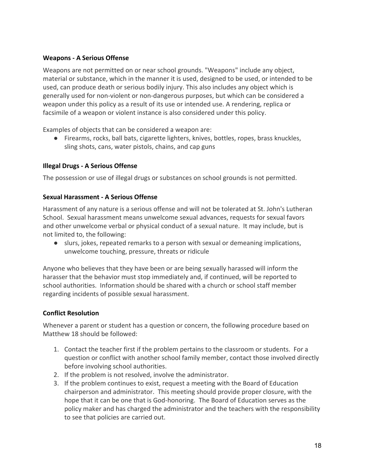#### <span id="page-18-0"></span>**Weapons - A Serious Offense**

Weapons are not permitted on or near school grounds. "Weapons" include any object, material or substance, which in the manner it is used, designed to be used, or intended to be used, can produce death or serious bodily injury. This also includes any object which is generally used for non-violent or non-dangerous purposes, but which can be considered a weapon under this policy as a result of its use or intended use. A rendering, replica or facsimile of a weapon or violent instance is also considered under this policy.

Examples of objects that can be considered a weapon are:

● Firearms, rocks, ball bats, cigarette lighters, knives, bottles, ropes, brass knuckles, sling shots, cans, water pistols, chains, and cap guns

#### <span id="page-18-1"></span>**Illegal Drugs - A Serious Offense**

<span id="page-18-2"></span>The possession or use of illegal drugs or substances on school grounds is not permitted.

#### **Sexual Harassment - A Serious Offense**

Harassment of any nature is a serious offense and will not be tolerated at St. John's Lutheran School. Sexual harassment means unwelcome sexual advances, requests for sexual favors and other unwelcome verbal or physical conduct of a sexual nature. It may include, but is not limited to, the following:

● slurs, jokes, repeated remarks to a person with sexual or demeaning implications, unwelcome touching, pressure, threats or ridicule

Anyone who believes that they have been or are being sexually harassed will inform the harasser that the behavior must stop immediately and, if continued, will be reported to school authorities. Information should be shared with a church or school staff member regarding incidents of possible sexual harassment.

#### <span id="page-18-3"></span>**Conflict Resolution**

Whenever a parent or student has a question or concern, the following procedure based on Matthew 18 should be followed:

- 1. Contact the teacher first if the problem pertains to the classroom or students. For a question or conflict with another school family member, contact those involved directly before involving school authorities.
- 2. If the problem is not resolved, involve the administrator.
- 3. If the problem continues to exist, request a meeting with the Board of Education chairperson and administrator. This meeting should provide proper closure, with the hope that it can be one that is God-honoring. The Board of Education serves as the policy maker and has charged the administrator and the teachers with the responsibility to see that policies are carried out.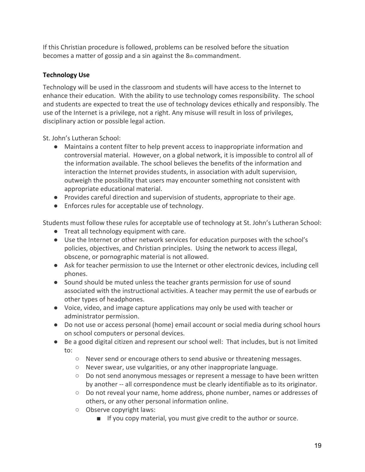If this Christian procedure is followed, problems can be resolved before the situation becomes a matter of gossip and a sin against the 8th commandment.

#### <span id="page-19-0"></span>**Technology Use**

Technology will be used in the classroom and students will have access to the Internet to enhance their education. With the ability to use technology comes responsibility. The school and students are expected to treat the use of technology devices ethically and responsibly. The use of the Internet is a privilege, not a right. Any misuse will result in loss of privileges, disciplinary action or possible legal action.

St. John's Lutheran School:

- Maintains a content filter to help prevent access to inappropriate information and controversial material. However, on a global network, it is impossible to control all of the information available. The school believes the benefits of the information and interaction the Internet provides students, in association with adult supervision, outweigh the possibility that users may encounter something not consistent with appropriate educational material.
- Provides careful direction and supervision of students, appropriate to their age.
- Enforces rules for acceptable use of technology.

Students must follow these rules for acceptable use of technology at St. John's Lutheran School:

- Treat all technology equipment with care.
- Use the Internet or other network services for education purposes with the school's policies, objectives, and Christian principles. Using the network to access illegal, obscene, or pornographic material is not allowed.
- Ask for teacher permission to use the Internet or other electronic devices, including cell phones.
- Sound should be muted unless the teacher grants permission for use of sound associated with the instructional activities. A teacher may permit the use of earbuds or other types of headphones.
- Voice, video, and image capture applications may only be used with teacher or administrator permission.
- Do not use or access personal (home) email account or social media during school hours on school computers or personal devices.
- Be a good digital citizen and represent our school well: That includes, but is not limited to:
	- Never send or encourage others to send abusive or threatening messages.
	- Never swear, use vulgarities, or any other inappropriate language.
	- Do not send anonymous messages or represent a message to have been written by another -- all correspondence must be clearly identifiable as to its originator.
	- Do not reveal your name, home address, phone number, names or addresses of others, or any other personal information online.
	- Observe copyright laws:
		- If you copy material, you must give credit to the author or source.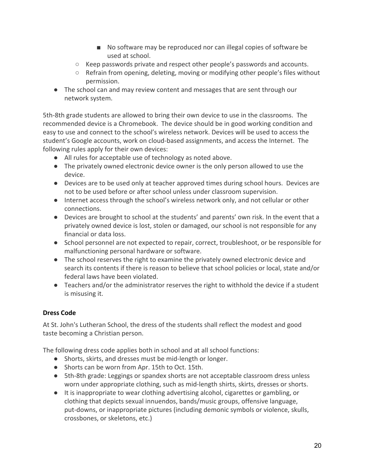- No software may be reproduced nor can illegal copies of software be used at school.
- Keep passwords private and respect other people's passwords and accounts.
- Refrain from opening, deleting, moving or modifying other people's files without permission.
- The school can and may review content and messages that are sent through our network system.

5th-8th grade students are allowed to bring their own device to use in the classrooms. The recommended device is a Chromebook. The device should be in good working condition and easy to use and connect to the school's wireless network. Devices will be used to access the student's Google accounts, work on cloud-based assignments, and access the Internet. The following rules apply for their own devices:

- All rules for acceptable use of technology as noted above.
- The privately owned electronic device owner is the only person allowed to use the device.
- Devices are to be used only at teacher approved times during school hours. Devices are not to be used before or after school unless under classroom supervision.
- Internet access through the school's wireless network only, and not cellular or other connections.
- Devices are brought to school at the students' and parents' own risk. In the event that a privately owned device is lost, stolen or damaged, our school is not responsible for any financial or data loss.
- School personnel are not expected to repair, correct, troubleshoot, or be responsible for malfunctioning personal hardware or software.
- The school reserves the right to examine the privately owned electronic device and search its contents if there is reason to believe that school policies or local, state and/or federal laws have been violated.
- Teachers and/or the administrator reserves the right to withhold the device if a student is misusing it.

#### <span id="page-20-0"></span>**Dress Code**

At St. John's Lutheran School, the dress of the students shall reflect the modest and good taste becoming a Christian person.

The following dress code applies both in school and at all school functions:

- Shorts, skirts, and dresses must be mid-length or longer.
- Shorts can be worn from Apr. 15th to Oct. 15th.
- 5th-8th grade: Leggings or spandex shorts are not acceptable classroom dress unless worn under appropriate clothing, such as mid-length shirts, skirts, dresses or shorts.
- It is inappropriate to wear clothing advertising alcohol, cigarettes or gambling, or clothing that depicts sexual innuendos, bands/music groups, offensive language, put-downs, or inappropriate pictures (including demonic symbols or violence, skulls, crossbones, or skeletons, etc.)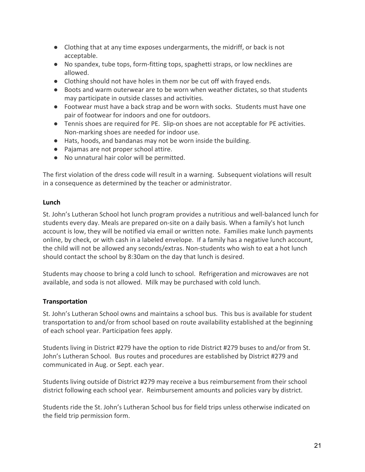- Clothing that at any time exposes undergarments, the midriff, or back is not acceptable.
- No spandex, tube tops, form-fitting tops, spaghetti straps, or low necklines are allowed.
- Clothing should not have holes in them nor be cut off with frayed ends.
- Boots and warm outerwear are to be worn when weather dictates, so that students may participate in outside classes and activities.
- Footwear must have a back strap and be worn with socks. Students must have one pair of footwear for indoors and one for outdoors.
- Tennis shoes are required for PE. Slip-on shoes are not acceptable for PE activities. Non-marking shoes are needed for indoor use.
- Hats, hoods, and bandanas may not be worn inside the building.
- Pajamas are not proper school attire.
- No unnatural hair color will be permitted.

The first violation of the dress code will result in a warning. Subsequent violations will result in a consequence as determined by the teacher or administrator.

#### <span id="page-21-0"></span>**Lunch**

St. John's Lutheran School hot lunch program provides a nutritious and well-balanced lunch for students every day. Meals are prepared on-site on a daily basis. When a family's hot lunch account is low, they will be notified via email or written note. Families make lunch payments [online,](http://www.stjlutheranschool.org/site/cpage.asp?cpage_id=180072499&sec_id=180011895) by check, or with cash in a labeled envelope. If a family has a negative lunch account, the child will not be allowed any seconds/extras. Non-students who wish to eat a hot lunch should contact the school by 8:30am on the day that lunch is desired.

Students may choose to bring a cold lunch to school. Refrigeration and microwaves are not available, and soda is not allowed. Milk may be purchased with cold lunch.

#### <span id="page-21-1"></span>**Transportation**

St. John's Lutheran School owns and maintains a school bus. This bus is available for student transportation to and/or from school based on route availability established at the beginning of each school year. Participation fees apply.

Students living in District #279 have the option to ride District #279 buses to and/or from St. John's Lutheran School. Bus routes and procedures are established by District #279 and communicated in Aug. or Sept. each year.

Students living outside of District #279 may receive a bus reimbursement from their school district following each school year. Reimbursement amounts and policies vary by district.

Students ride the St. John's Lutheran School bus for field trips unless otherwise indicated on the field trip permission form.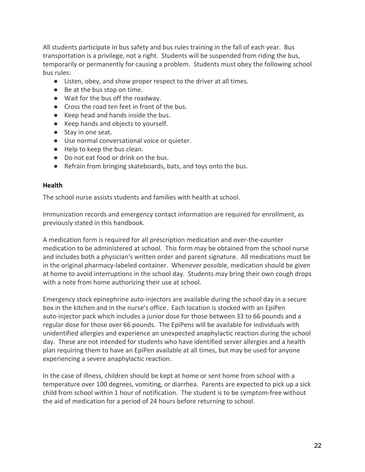All students participate in bus safety and bus rules training in the fall of each year. Bus transportation is a privilege, not a right. Students will be suspended from riding the bus, temporarily or permanently for causing a problem. Students must obey the following school bus rules:

- Listen, obey, and show proper respect to the driver at all times.
- Be at the bus stop on time.
- Wait for the bus off the roadway.
- Cross the road ten feet in front of the bus.
- Keep head and hands inside the bus.
- Keep hands and objects to yourself.
- Stay in one seat.
- Use normal conversational voice or quieter.
- Help to keep the bus clean.
- Do not eat food or drink on the bus.
- Refrain from bringing skateboards, bats, and toys onto the bus.

#### <span id="page-22-0"></span>**Health**

The school nurse assists students and families with health at school.

Immunization records and emergency contact information are required for enrollment, as previously stated in this handbook.

A medication form is required for all prescription medication and over-the-counter medication to be administered at school. This form may be obtained from the school nurse and includes both a physician's written order and parent signature. All medications must be in the original pharmacy-labeled container. Whenever possible, medication should be given at home to avoid interruptions in the school day. Students may bring their own cough drops with a note from home authorizing their use at school.

Emergency stock epinephrine auto-injectors are available during the school day in a secure box in the kitchen and in the nurse's office. Each location is stocked with an EpiPen auto-injector pack which includes a junior dose for those between 33 to 66 pounds and a regular dose for those over 66 pounds. The EpiPens will be available for individuals with unidentified allergies and experience an unexpected anaphylactic reaction during the school day. These are not intended for students who have identified server allergies and a health plan requiring them to have an EpiPen available at all times, but may be used for anyone experiencing a severe anaphylactic reaction.

In the case of illness, children should be kept at home or sent home from school with a temperature over 100 degrees, vomiting, or diarrhea. Parents are expected to pick up a sick child from school within 1 hour of notification. The student is to be symptom-free without the aid of medication for a period of 24 hours before returning to school.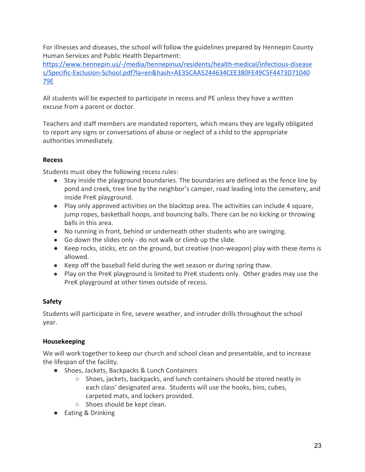For illnesses and diseases, the school will follow the guidelines prepared by Hennepin County Human Services and Public Health Department:

[https://www.hennepin.us/-/media/hennepinus/residents/health-medical/infectious-disease](https://www.hennepin.us/-/media/hennepinus/residents/health-medical/infectious-diseases/Specific-Exclusion-School.pdf?la=en&hash=AE35CAA5244634CEE380FE49C5F4473D7104079E) [s/Specific-Exclusion-School.pdf?la=en&hash=AE35CAA5244634CEE380FE49C5F4473D71040](https://www.hennepin.us/-/media/hennepinus/residents/health-medical/infectious-diseases/Specific-Exclusion-School.pdf?la=en&hash=AE35CAA5244634CEE380FE49C5F4473D7104079E) [79E](https://www.hennepin.us/-/media/hennepinus/residents/health-medical/infectious-diseases/Specific-Exclusion-School.pdf?la=en&hash=AE35CAA5244634CEE380FE49C5F4473D7104079E)

All students will be expected to participate in recess and PE unless they have a written excuse from a parent or doctor.

Teachers and staff members are mandated reporters, which means they are legally obligated to report any signs or conversations of abuse or neglect of a child to the appropriate authorities immediately.

#### <span id="page-23-0"></span>**Recess**

Students must obey the following recess rules:

- Stay inside the playground boundaries. The boundaries are defined as the fence line by pond and creek, tree line by the neighbor's camper, road leading into the cemetery, and inside PreK playground.
- Play only approved activities on the blacktop area. The activities can include 4 square, jump ropes, basketball hoops, and bouncing balls. There can be no kicking or throwing balls in this area.
- No running in front, behind or underneath other students who are swinging.
- Go down the slides only do not walk or climb up the slide.
- Keep rocks, sticks, etc on the ground, but creative (non-weapon) play with these items is allowed.
- Keep off the baseball field during the wet season or during spring thaw.
- Play on the PreK playground is limited to PreK students only. Other grades may use the PreK playground at other times outside of recess.

#### <span id="page-23-1"></span>**Safety**

Students will participate in fire, severe weather, and intruder drills throughout the school year.

#### <span id="page-23-2"></span>**Housekeeping**

We will work together to keep our church and school clean and presentable, and to increase the lifespan of the facility.

- Shoes, Jackets, Backpacks & Lunch Containers
	- Shoes, jackets, backpacks, and lunch containers should be stored neatly in each class' designated area. Students will use the hooks, bins, cubes, carpeted mats, and lockers provided.
	- Shoes should be kept clean.
- Eating & Drinking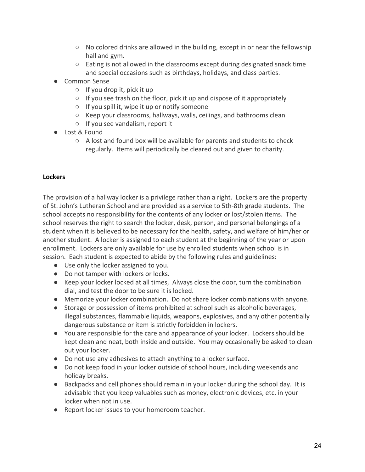- $\circ$  No colored drinks are allowed in the building, except in or near the fellowship hall and gym.
- $\circ$  Eating is not allowed in the classrooms except during designated snack time and special occasions such as birthdays, holidays, and class parties.
- Common Sense
	- $\circ$  If you drop it, pick it up
	- If you see trash on the floor, pick it up and dispose of it appropriately
	- If you spill it, wipe it up or notify someone
	- Keep your classrooms, hallways, walls, ceilings, and bathrooms clean
	- If you see vandalism, report it
- Lost & Found
	- A lost and found box will be available for parents and students to check regularly. Items will periodically be cleared out and given to charity.

#### <span id="page-24-0"></span>**Lockers**

The provision of a hallway locker is a privilege rather than a right. Lockers are the property of St. John's Lutheran School and are provided as a service to 5th-8th grade students. The school accepts no responsibility for the contents of any locker or lost/stolen items. The school reserves the right to search the locker, desk, person, and personal belongings of a student when it is believed to be necessary for the health, safety, and welfare of him/her or another student. A locker is assigned to each student at the beginning of the year or upon enrollment. Lockers are only available for use by enrolled students when school is in session. Each student is expected to abide by the following rules and guidelines:

- Use only the locker assigned to you.
- Do not tamper with lockers or locks.
- Keep your locker locked at all times, Always close the door, turn the combination dial, and test the door to be sure it is locked.
- Memorize your locker combination. Do not share locker combinations with anyone.
- Storage or possession of items prohibited at school such as alcoholic beverages, illegal substances, flammable liquids, weapons, explosives, and any other potentially dangerous substance or item is strictly forbidden in lockers.
- You are responsible for the care and appearance of your locker. Lockers should be kept clean and neat, both inside and outside. You may occasionally be asked to clean out your locker.
- Do not use any adhesives to attach anything to a locker surface.
- Do not keep food in your locker outside of school hours, including weekends and holiday breaks.
- Backpacks and cell phones should remain in your locker during the school day. It is advisable that you keep valuables such as money, electronic devices, etc. in your locker when not in use.
- Report locker issues to your homeroom teacher.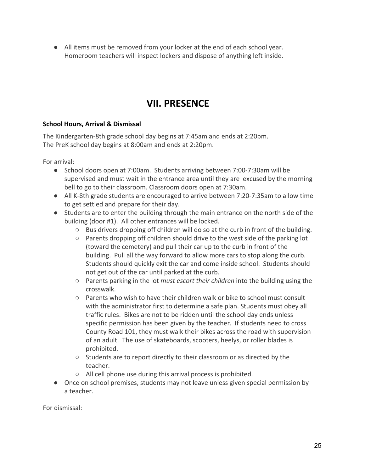● All items must be removed from your locker at the end of each school year. Homeroom teachers will inspect lockers and dispose of anything left inside.

# **VII. PRESENCE**

#### <span id="page-25-0"></span>**School Hours, Arrival & Dismissal**

The Kindergarten-8th grade school day begins at 7:45am and ends at 2:20pm. The PreK school day begins at 8:00am and ends at 2:20pm.

For arrival:

- School doors open at 7:00am. Students arriving between 7:00-7:30am will be supervised and must wait in the entrance area until they are excused by the morning bell to go to their classroom. Classroom doors open at 7:30am.
- All K-8th grade students are encouraged to arrive between 7:20-7:35am to allow time to get settled and prepare for their day.
- Students are to enter the building through the main entrance on the north side of the building (door #1). All other entrances will be locked.
	- Bus drivers dropping off children will do so at the curb in front of the building.
	- $\circ$  Parents dropping off children should drive to the west side of the parking lot (toward the cemetery) and pull their car up to the curb in front of the building. Pull all the way forward to allow more cars to stop along the curb. Students should quickly exit the car and come inside school. Students should not get out of the car until parked at the curb.
	- Parents parking in the lot *must escort their children* into the building using the crosswalk.
	- Parents who wish to have their children walk or bike to school must consult with the administrator first to determine a safe plan. Students must obey all traffic rules. Bikes are not to be ridden until the school day ends unless specific permission has been given by the teacher. If students need to cross County Road 101, they must walk their bikes across the road with supervision of an adult. The use of skateboards, scooters, heelys, or roller blades is prohibited.
	- Students are to report directly to their classroom or as directed by the teacher.
	- All cell phone use during this arrival process is prohibited.
- Once on school premises, students may not leave unless given special permission by a teacher.

For dismissal: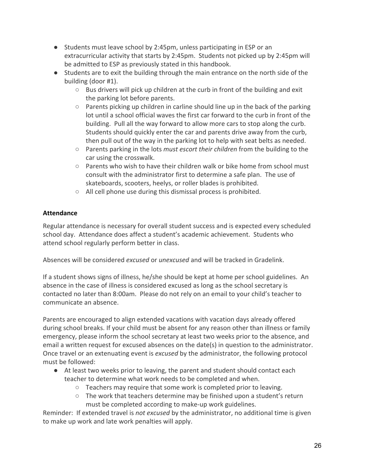- Students must leave school by 2:45pm, unless participating in ESP or an extracurricular activity that starts by 2:45pm. Students not picked up by 2:45pm will be admitted to ESP as previously stated in this handbook.
- Students are to exit the building through the main entrance on the north side of the building (door #1).
	- $\circ$  Bus drivers will pick up children at the curb in front of the building and exit the parking lot before parents.
	- $\circ$  Parents picking up children in carline should line up in the back of the parking lot until a school official waves the first car forward to the curb in front of the building. Pull all the way forward to allow more cars to stop along the curb. Students should quickly enter the car and parents drive away from the curb, then pull out of the way in the parking lot to help with seat belts as needed.
	- Parents parking in the lots *must escort their children* from the building to the car using the crosswalk.
	- $\circ$  Parents who wish to have their children walk or bike home from school must consult with the administrator first to determine a safe plan. The use of skateboards, scooters, heelys, or roller blades is prohibited.
	- All cell phone use during this dismissal process is prohibited.

#### <span id="page-26-0"></span>**Attendance**

Regular attendance is necessary for overall student success and is expected every scheduled school day. Attendance does affect a student's academic achievement. Students who attend school regularly perform better in class.

Absences will be considered *excused* or *unexcused* and will be tracked in Gradelink.

If a student shows signs of illness, he/she should be kept at home per school guidelines. An absence in the case of illness is considered excused as long as the school secretary is contacted no later than 8:00am. Please do not rely on an email to your child's teacher to communicate an absence.

Parents are encouraged to align extended vacations with vacation days already offered during school breaks. If your child must be absent for any reason other than illness or family emergency, please inform the school secretary at least two weeks prior to the absence, and email a written request for excused absences on the date(s) in question to the administrator. Once travel or an extenuating event is *excused* by the administrator, the following protocol must be followed:

- At least two weeks prior to leaving, the parent and student should contact each teacher to determine what work needs to be completed and when.
	- Teachers may require that some work is completed prior to leaving.
	- $\circ$  The work that teachers determine may be finished upon a student's return must be completed according to make-up work guidelines.

Reminder: If extended travel is *not excused* by the administrator, no additional time is given to make up work and late work penalties will apply.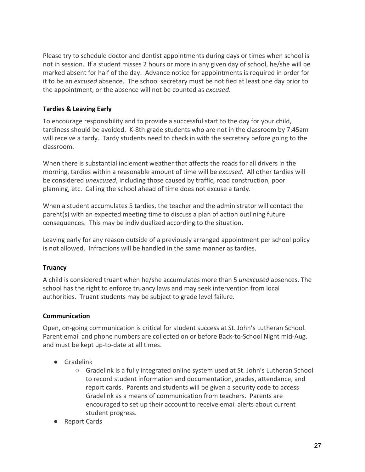Please try to schedule doctor and dentist appointments during days or times when school is not in session. If a student misses 2 hours or more in any given day of school, he/she will be marked absent for half of the day. Advance notice for appointments is required in order for it to be an *excused* absence. The school secretary must be notified at least one day prior to the appointment, or the absence will not be counted as *excused*.

#### <span id="page-27-0"></span>**Tardies & Leaving Early**

To encourage responsibility and to provide a successful start to the day for your child, tardiness should be avoided. K-8th grade students who are not in the classroom by 7:45am will receive a tardy. Tardy students need to check in with the secretary before going to the classroom.

When there is substantial inclement weather that affects the roads for all drivers in the morning, tardies within a reasonable amount of time will be *excused*. All other tardies will be considered *unexcused*, including those caused by traffic, road construction, poor planning, etc. Calling the school ahead of time does not excuse a tardy.

When a student accumulates 5 tardies, the teacher and the administrator will contact the parent(s) with an expected meeting time to discuss a plan of action outlining future consequences. This may be individualized according to the situation.

Leaving early for any reason outside of a previously arranged appointment per school policy is not allowed. Infractions will be handled in the same manner as tardies.

#### <span id="page-27-1"></span>**Truancy**

A child is considered truant when he/she accumulates more than 5 *unexcused* absences. The school has the right to enforce truancy laws and may seek intervention from local authorities. Truant students may be subject to grade level failure.

#### <span id="page-27-2"></span>**Communication**

Open, on-going communication is critical for student success at St. John's Lutheran School. Parent email and phone numbers are collected on or before Back-to-School Night mid-Aug. and must be kept up-to-date at all times.

- Gradelink
	- Gradelink is a fully integrated online system used at St. John's Lutheran School to record student information and documentation, grades, attendance, and report cards. Parents and students will be given a security code to access Gradelink as a means of communication from teachers. Parents are encouraged to set up their account to receive email alerts about current student progress.
- Report Cards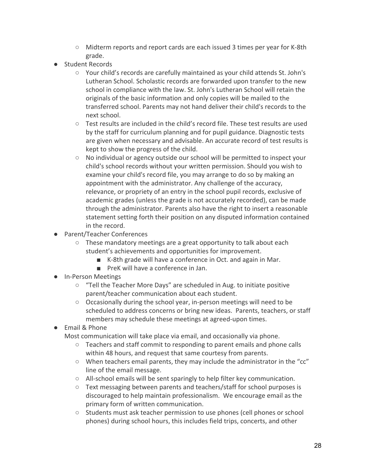- Midterm reports and report cards are each issued 3 times per year for K-8th grade.
- Student Records
	- Your child's records are carefully maintained as your child attends St. John's Lutheran School. Scholastic records are forwarded upon transfer to the new school in compliance with the law. St. John's Lutheran School will retain the originals of the basic information and only copies will be mailed to the transferred school. Parents may not hand deliver their child's records to the next school.
	- Test results are included in the child's record file. These test results are used by the staff for curriculum planning and for pupil guidance. Diagnostic tests are given when necessary and advisable. An accurate record of test results is kept to show the progress of the child.
	- No individual or agency outside our school will be permitted to inspect your child's school records without your written permission. Should you wish to examine your child's record file, you may arrange to do so by making an appointment with the administrator. Any challenge of the accuracy, relevance, or propriety of an entry in the school pupil records, exclusive of academic grades (unless the grade is not accurately recorded), can be made through the administrator. Parents also have the right to insert a reasonable statement setting forth their position on any disputed information contained in the record.
- Parent/Teacher Conferences
	- These mandatory meetings are a great opportunity to talk about each student's achievements and opportunities for improvement.
		- K-8th grade will have a conference in Oct. and again in Mar.
		- PreK will have a conference in Jan.
- In-Person Meetings
	- "Tell the Teacher More Days" are scheduled in Aug. to initiate positive parent/teacher communication about each student.
	- Occasionally during the school year, in-person meetings will need to be scheduled to address concerns or bring new ideas. Parents, teachers, or staff members may schedule these meetings at agreed-upon times.
- **Email & Phone** 
	- Most communication will take place via email, and occasionally via phone.
		- Teachers and staff commit to responding to parent emails and phone calls within 48 hours, and request that same courtesy from parents.
		- When teachers email parents, they may include the administrator in the "cc" line of the email message.
		- All-school emails will be sent sparingly to help filter key communication.
		- Text messaging between parents and teachers/staff for school purposes is discouraged to help maintain professionalism. We encourage email as the primary form of written communication.
		- Students must ask teacher permission to use phones (cell phones or school phones) during school hours, this includes field trips, concerts, and other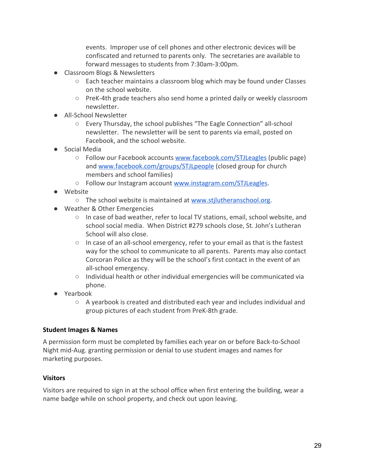events. Improper use of cell phones and other electronic devices will be confiscated and returned to parents only. The secretaries are available to forward messages to students from 7:30am-3:00pm.

- Classroom Blogs & Newsletters
	- $\circ$  Each teacher maintains a classroom blog which may be found under Classes on the school website.
	- PreK-4th grade teachers also send home a printed daily or weekly classroom newsletter.
- All-School Newsletter
	- Every Thursday, the school publishes "The Eagle Connection" all-school newsletter. The newsletter will be sent to parents via email, posted on Facebook, and the school website.
- Social Media
	- Follow our Facebook accounts [www.facebook.com/STJLeagles](http://www.facebook.com/STJLeagles) (public page) and [www.facebook.com/groups/STJLpeople](http://www.facebook.com/groups/STJLpeople) (closed group for church members and school families)
	- Follow our Instagram account [www.instagram.com/STJLeagles](http://www.instagram.com/STJLeagles).
- Website
	- The school website is maintained at [www.stjlutheranschool.org.](http://www.stjlutheranschool.org/)
- Weather & Other Emergencies
	- In case of bad weather, refer to local TV stations, email, school website, and school social media. When District #279 schools close, St. John's Lutheran School will also close.
	- In case of an all-school emergency, refer to your email as that is the fastest way for the school to communicate to all parents. Parents may also contact Corcoran Police as they will be the school's first contact in the event of an all-school emergency.
	- Individual health or other individual emergencies will be communicated via phone.
- Yearbook
	- A yearbook is created and distributed each year and includes individual and group pictures of each student from PreK-8th grade.

#### <span id="page-29-0"></span>**Student Images & Names**

A permission form must be completed by families each year on or before Back-to-School Night mid-Aug. granting permission or denial to use student images and names for marketing purposes.

#### <span id="page-29-1"></span>**Visitors**

Visitors are required to sign in at the school office when first entering the building, wear a name badge while on school property, and check out upon leaving.